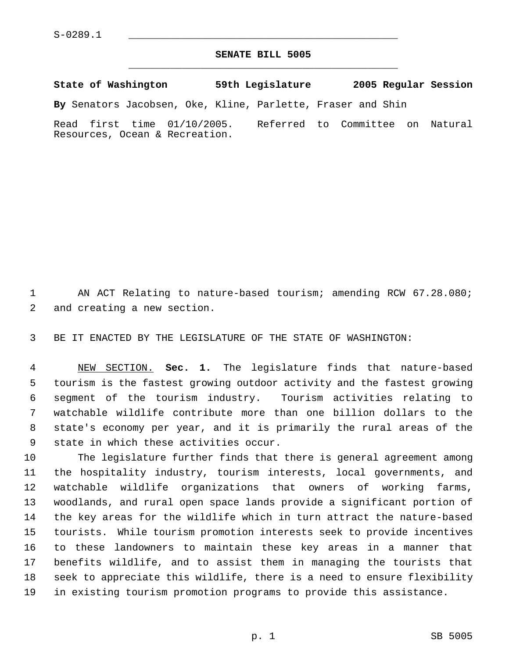## **SENATE BILL 5005** \_\_\_\_\_\_\_\_\_\_\_\_\_\_\_\_\_\_\_\_\_\_\_\_\_\_\_\_\_\_\_\_\_\_\_\_\_\_\_\_\_\_\_\_\_

**State of Washington 59th Legislature 2005 Regular Session**

**By** Senators Jacobsen, Oke, Kline, Parlette, Fraser and Shin

Read first time 01/10/2005. Referred to Committee on Natural Resources, Ocean & Recreation.

 AN ACT Relating to nature-based tourism; amending RCW 67.28.080; and creating a new section.

BE IT ENACTED BY THE LEGISLATURE OF THE STATE OF WASHINGTON:

 NEW SECTION. **Sec. 1.** The legislature finds that nature-based tourism is the fastest growing outdoor activity and the fastest growing segment of the tourism industry. Tourism activities relating to watchable wildlife contribute more than one billion dollars to the state's economy per year, and it is primarily the rural areas of the state in which these activities occur.

 The legislature further finds that there is general agreement among the hospitality industry, tourism interests, local governments, and watchable wildlife organizations that owners of working farms, woodlands, and rural open space lands provide a significant portion of the key areas for the wildlife which in turn attract the nature-based tourists. While tourism promotion interests seek to provide incentives to these landowners to maintain these key areas in a manner that benefits wildlife, and to assist them in managing the tourists that seek to appreciate this wildlife, there is a need to ensure flexibility in existing tourism promotion programs to provide this assistance.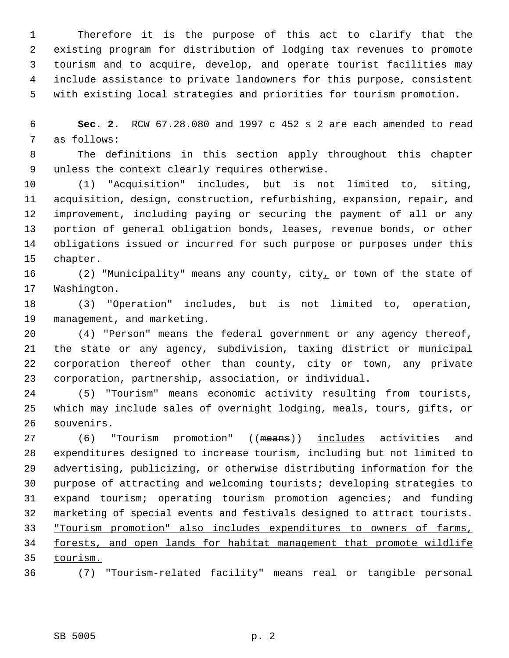Therefore it is the purpose of this act to clarify that the existing program for distribution of lodging tax revenues to promote tourism and to acquire, develop, and operate tourist facilities may include assistance to private landowners for this purpose, consistent with existing local strategies and priorities for tourism promotion.

 **Sec. 2.** RCW 67.28.080 and 1997 c 452 s 2 are each amended to read as follows:

 The definitions in this section apply throughout this chapter unless the context clearly requires otherwise.

 (1) "Acquisition" includes, but is not limited to, siting, acquisition, design, construction, refurbishing, expansion, repair, and improvement, including paying or securing the payment of all or any portion of general obligation bonds, leases, revenue bonds, or other obligations issued or incurred for such purpose or purposes under this chapter.

16 (2) "Municipality" means any county, city, or town of the state of Washington.

 (3) "Operation" includes, but is not limited to, operation, management, and marketing.

 (4) "Person" means the federal government or any agency thereof, the state or any agency, subdivision, taxing district or municipal corporation thereof other than county, city or town, any private corporation, partnership, association, or individual.

 (5) "Tourism" means economic activity resulting from tourists, which may include sales of overnight lodging, meals, tours, gifts, or souvenirs.

27 (6) "Tourism promotion" ((means)) includes activities and expenditures designed to increase tourism, including but not limited to advertising, publicizing, or otherwise distributing information for the purpose of attracting and welcoming tourists; developing strategies to expand tourism; operating tourism promotion agencies; and funding marketing of special events and festivals designed to attract tourists. "Tourism promotion" also includes expenditures to owners of farms, forests, and open lands for habitat management that promote wildlife tourism.

(7) "Tourism-related facility" means real or tangible personal